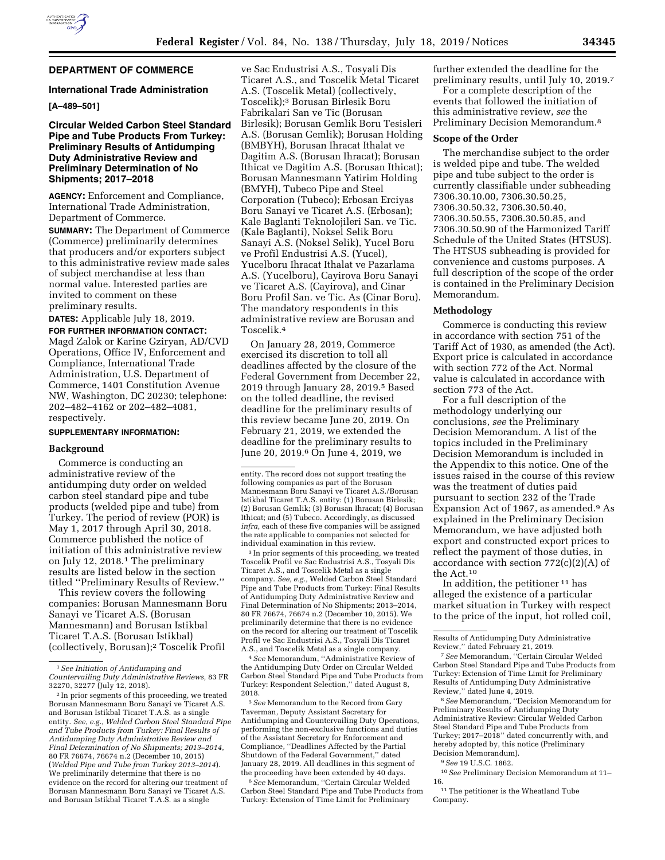

# **DEPARTMENT OF COMMERCE**

### **International Trade Administration**

# **[A–489–501]**

# **Circular Welded Carbon Steel Standard Pipe and Tube Products From Turkey: Preliminary Results of Antidumping Duty Administrative Review and Preliminary Determination of No Shipments; 2017–2018**

**AGENCY:** Enforcement and Compliance, International Trade Administration, Department of Commerce.

**SUMMARY:** The Department of Commerce (Commerce) preliminarily determines that producers and/or exporters subject to this administrative review made sales of subject merchandise at less than normal value. Interested parties are invited to comment on these preliminary results.

**DATES:** Applicable July 18, 2019.

**FOR FURTHER INFORMATION CONTACT:**  Magd Zalok or Karine Gziryan, AD/CVD Operations, Office IV, Enforcement and Compliance, International Trade Administration, U.S. Department of Commerce, 1401 Constitution Avenue NW, Washington, DC 20230; telephone: 202–482–4162 or 202–482–4081, respectively.

### **SUPPLEMENTARY INFORMATION:**

#### **Background**

Commerce is conducting an administrative review of the antidumping duty order on welded carbon steel standard pipe and tube products (welded pipe and tube) from Turkey. The period of review (POR) is May 1, 2017 through April 30, 2018. Commerce published the notice of initiation of this administrative review on July 12, 2018.1 The preliminary results are listed below in the section titled ''Preliminary Results of Review.''

This review covers the following companies: Borusan Mannesmann Boru Sanayi ve Ticaret A.S. (Borusan Mannesmann) and Borusan Istikbal Ticaret T.A.S. (Borusan Istikbal) (collectively, Borusan);2 Toscelik Profil

ve Sac Endustrisi A.S., Tosyali Dis Ticaret A.S., and Toscelik Metal Ticaret A.S. (Toscelik Metal) (collectively, Toscelik);3 Borusan Birlesik Boru Fabrikalari San ve Tic (Borusan Birlesik); Borusan Gemlik Boru Tesisleri A.S. (Borusan Gemlik); Borusan Holding (BMBYH), Borusan Ihracat Ithalat ve Dagitim A.S. (Borusan Ihracat); Borusan Ithicat ve Dagitim A.S. (Borusan Ithicat); Borusan Mannesmann Yatirim Holding (BMYH), Tubeco Pipe and Steel Corporation (Tubeco); Erbosan Erciyas Boru Sanayi ve Ticaret A.S. (Erbosan); Kale Baglanti Teknolojileri San. ve Tic. (Kale Baglanti), Noksel Selik Boru Sanayi A.S. (Noksel Selik), Yucel Boru ve Profil Endustrisi A.S. (Yucel), Yucelboru Ihracat Ithalat ve Pazarlama A.S. (Yucelboru), Cayirova Boru Sanayi ve Ticaret A.S. (Cayirova), and Cinar Boru Profil San. ve Tic. As (Cinar Boru). The mandatory respondents in this administrative review are Borusan and Toscelik.4

On January 28, 2019, Commerce exercised its discretion to toll all deadlines affected by the closure of the Federal Government from December 22, 2019 through January 28, 2019.5 Based on the tolled deadline, the revised deadline for the preliminary results of this review became June 20, 2019. On February 21, 2019, we extended the deadline for the preliminary results to June 20, 2019.6 On June 4, 2019, we

3 In prior segments of this proceeding, we treated Toscelik Profil ve Sac Endustrisi A.S., Tosyali Dis Ticaret A.S., and Toscelik Metal as a single company. *See, e.g.,* Welded Carbon Steel Standard Pipe and Tube Products from Turkey: Final Results of Antidumping Duty Administrative Review and Final Determination of No Shipments; 2013–2014, 80 FR 76674, 76674 n.2 (December 10, 2015). We preliminarily determine that there is no evidence on the record for altering our treatment of Toscelik Profil ve Sac Endustrisi A.S., Tosyali Dis Ticaret A.S., and Toscelik Metal as a single company.

4*See* Memorandum, ''Administrative Review of the Antidumping Duty Order on Circular Welded Carbon Steel Standard Pipe and Tube Products from Turkey: Respondent Selection,'' dated August 8, 2018.

6*See* Memorandum, ''Certain Circular Welded Carbon Steel Standard Pipe and Tube Products from Turkey: Extension of Time Limit for Preliminary

further extended the deadline for the preliminary results, until July 10, 2019.7

For a complete description of the events that followed the initiation of this administrative review, *see* the Preliminary Decision Memorandum.8

### **Scope of the Order**

The merchandise subject to the order is welded pipe and tube. The welded pipe and tube subject to the order is currently classifiable under subheading 7306.30.10.00, 7306.30.50.25, 7306.30.50.32, 7306.30.50.40, 7306.30.50.55, 7306.30.50.85, and 7306.30.50.90 of the Harmonized Tariff Schedule of the United States (HTSUS). The HTSUS subheading is provided for convenience and customs purposes. A full description of the scope of the order is contained in the Preliminary Decision Memorandum.

# **Methodology**

Commerce is conducting this review in accordance with section 751 of the Tariff Act of 1930, as amended (the Act). Export price is calculated in accordance with section 772 of the Act. Normal value is calculated in accordance with section 773 of the Act.

For a full description of the methodology underlying our conclusions, *see* the Preliminary Decision Memorandum. A list of the topics included in the Preliminary Decision Memorandum is included in the Appendix to this notice. One of the issues raised in the course of this review was the treatment of duties paid pursuant to section 232 of the Trade Expansion Act of 1967, as amended.9 As explained in the Preliminary Decision Memorandum, we have adjusted both export and constructed export prices to reflect the payment of those duties, in accordance with section  $772(c)(2)(A)$  of the Act.10

In addition, the petitioner 11 has alleged the existence of a particular market situation in Turkey with respect to the price of the input, hot rolled coil,

8*See* Memorandum, ''Decision Memorandum for Preliminary Results of Antidumping Duty Administrative Review: Circular Welded Carbon Steel Standard Pipe and Tube Products from Turkey; 2017–2018'' dated concurrently with, and hereby adopted by, this notice (Preliminary Decision Memorandum).

9*See* 19 U.S.C. 1862.

10*See* Preliminary Decision Memorandum at 11– 16.

 $^{\rm 11}$  The petitioner is the Wheatland Tube Company.

<sup>1</sup>*See Initiation of Antidumping and Countervailing Duty Administrative Reviews,* 83 FR 32270, 32277 (July 12, 2018).

<sup>2</sup> In prior segments of this proceeding, we treated Borusan Mannesmann Boru Sanayi ve Ticaret A.S. and Borusan Istikbal Ticaret T.A.S. as a single entity. *See, e.g., Welded Carbon Steel Standard Pipe and Tube Products from Turkey: Final Results of Antidumping Duty Administrative Review and Final Determination of No Shipments; 2013–2014,*  80 FR 76674, 76674 n.2 (December 10, 2015) (*Welded Pipe and Tube from Turkey 2013–2014*). We preliminarily determine that there is no evidence on the record for altering our treatment of Borusan Mannesmann Boru Sanayi ve Ticaret A.S. and Borusan Istikbal Ticaret T.A.S. as a single

entity. The record does not support treating the following companies as part of the Borusan Mannesmann Boru Sanayi ve Ticaret A.S./Borusan Istikbal Ticaret T.A.S. entity: (1) Borusan Birlesik; (2) Borusan Gemlik; (3) Borusan Ihracat; (4) Borusan Ithicat; and (5) Tubeco. Accordingly, as discussed *infra,* each of these five companies will be assigned the rate applicable to companies not selected for individual examination in this review.

<sup>5</sup>*See* Memorandum to the Record from Gary Taverman, Deputy Assistant Secretary for Antidumping and Countervailing Duty Operations, performing the non-exclusive functions and duties of the Assistant Secretary for Enforcement and Compliance, ''Deadlines Affected by the Partial Shutdown of the Federal Government,'' dated January 28, 2019. All deadlines in this segment of the proceeding have been extended by 40 days.

Results of Antidumping Duty Administrative Review,'' dated February 21, 2019.

<sup>7</sup>*See* Memorandum, ''Certain Circular Welded Carbon Steel Standard Pipe and Tube Products from Turkey: Extension of Time Limit for Preliminary Results of Antidumping Duty Administrative Review,'' dated June 4, 2019.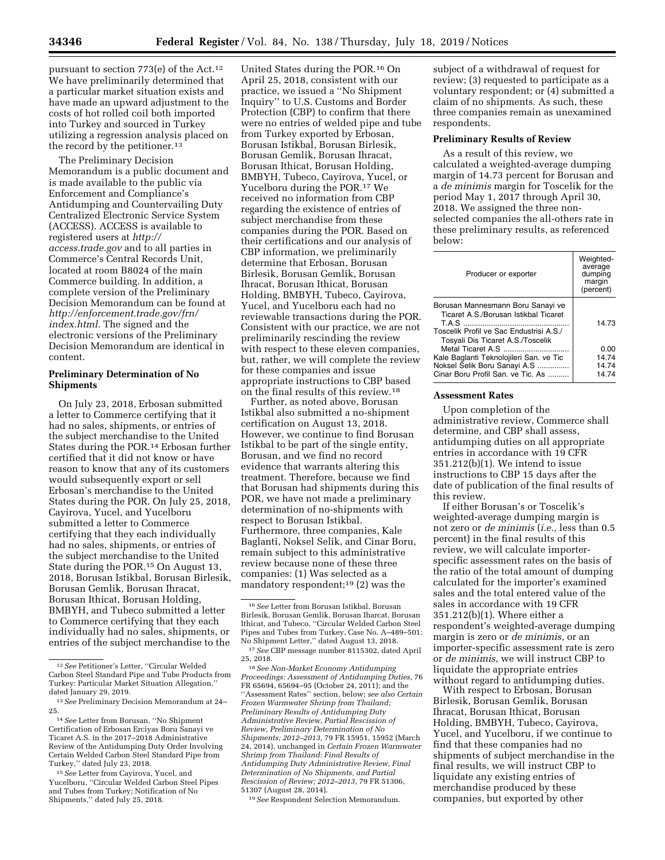pursuant to section 773(e) of the Act.12 We have preliminarily determined that a particular market situation exists and have made an upward adjustment to the costs of hot rolled coil both imported into Turkey and sourced in Turkey utilizing a regression analysis placed on the record by the petitioner.<sup>13</sup>

The Preliminary Decision Memorandum is a public document and is made available to the public via Enforcement and Compliance's Antidumping and Countervailing Duty Centralized Electronic Service System (ACCESS). ACCESS is available to registered users at *[http://](http://access.trade.gov) [access.trade.gov](http://access.trade.gov)* and to all parties in Commerce's Central Records Unit, located at room B8024 of the main Commerce building. In addition, a complete version of the Preliminary Decision Memorandum can be found at *[http://enforcement.trade.gov/frn/](http://enforcement.trade.gov/frn/index.html)  [index.html.](http://enforcement.trade.gov/frn/index.html)* The signed and the electronic versions of the Preliminary Decision Memorandum are identical in content.

# **Preliminary Determination of No Shipments**

On July 23, 2018, Erbosan submitted a letter to Commerce certifying that it had no sales, shipments, or entries of the subject merchandise to the United States during the POR.14 Erbosan further certified that it did not know or have reason to know that any of its customers would subsequently export or sell Erbosan's merchandise to the United States during the POR. On July 25, 2018, Cayirova, Yucel, and Yucelboru submitted a letter to Commerce certifying that they each individually had no sales, shipments, or entries of the subject merchandise to the United State during the POR.15 On August 13, 2018, Borusan Istikbal, Borusan Birlesik, Borusan Gemlik, Borusan Ihracat, Borusan Ithicat, Borusan Holding, BMBYH, and Tubeco submitted a letter to Commerce certifying that they each individually had no sales, shipments, or entries of the subject merchandise to the

United States during the POR.16 On April 25, 2018, consistent with our practice, we issued a ''No Shipment Inquiry'' to U.S. Customs and Border Protection (CBP) to confirm that there were no entries of welded pipe and tube from Turkey exported by Erbosan, Borusan Istikbal, Borusan Birlesik, Borusan Gemlik, Borusan Ihracat, Borusan Ithicat, Borusan Holding, BMBYH, Tubeco, Cayirova, Yucel, or Yucelboru during the POR.17 We received no information from CBP regarding the existence of entries of subject merchandise from these companies during the POR. Based on their certifications and our analysis of CBP information, we preliminarily determine that Erbosan, Borusan Birlesik, Borusan Gemlik, Borusan Ihracat, Borusan Ithicat, Borusan Holding, BMBYH, Tubeco, Cayirova, Yucel, and Yucelboru each had no reviewable transactions during the POR. Consistent with our practice, we are not preliminarily rescinding the review with respect to these eleven companies, but, rather, we will complete the review for these companies and issue appropriate instructions to CBP based on the final results of this review.18

Further, as noted above, Borusan Istikbal also submitted a no-shipment certification on August 13, 2018. However, we continue to find Borusan Istikbal to be part of the single entity, Borusan, and we find no record evidence that warrants altering this treatment. Therefore, because we find that Borusan had shipments during this POR, we have not made a preliminary determination of no-shipments with respect to Borusan Istikbal. Furthermore, three companies, Kale Baglanti, Noksel Selik, and Cinar Boru, remain subject to this administrative review because none of these three companies: (1) Was selected as a mandatory respondent;19 (2) was the

subject of a withdrawal of request for review; (3) requested to participate as a voluntary respondent; or (4) submitted a claim of no shipments. As such, these three companies remain as unexamined respondents.

## **Preliminary Results of Review**

As a result of this review, we calculated a weighted-average dumping margin of 14.73 percent for Borusan and a *de minimis* margin for Toscelik for the period May 1, 2017 through April 30, 2018. We assigned the three nonselected companies the all-others rate in these preliminary results, as referenced below:

| Producer or exporter                                                                                                                                       | Weighted-<br>average<br>dumping<br>margin<br>(percent) |
|------------------------------------------------------------------------------------------------------------------------------------------------------------|--------------------------------------------------------|
| Borusan Mannesmann Boru Sanayi ve<br>Ticaret A.S./Borusan Istikbal Ticaret<br>Toscelik Profil ve Sac Endustrisi A.S./<br>Tosyali Dis Ticaret A.S./Toscelik | 14.73                                                  |
|                                                                                                                                                            | 0.00                                                   |
| Kale Baglanti Teknolojileri San. ve Tic                                                                                                                    | 14.74                                                  |
| Noksel Selik Boru Sanayi A.S                                                                                                                               | 14.74                                                  |
| Cinar Boru Profil San, ve Tic. As                                                                                                                          | 1474                                                   |

#### **Assessment Rates**

Upon completion of the administrative review, Commerce shall determine, and CBP shall assess, antidumping duties on all appropriate entries in accordance with 19 CFR 351.212(b)(1). We intend to issue instructions to CBP 15 days after the date of publication of the final results of this review.

If either Borusan's or Toscelik's weighted-average dumping margin is not zero or *de minimis* (*i.e.,* less than 0.5 percent) in the final results of this review, we will calculate importerspecific assessment rates on the basis of the ratio of the total amount of dumping calculated for the importer's examined sales and the total entered value of the sales in accordance with 19 CFR 351.212(b)(1). Where either a respondent's weighted-average dumping margin is zero or *de minimis,* or an importer-specific assessment rate is zero or *de minimis,* we will instruct CBP to liquidate the appropriate entries without regard to antidumping duties.

With respect to Erbosan, Borusan Birlesik, Borusan Gemlik, Borusan Ihracat, Borusan Ithicat, Borusan Holding, BMBYH, Tubeco, Cayirova, Yucel, and Yucelboru, if we continue to find that these companies had no shipments of subject merchandise in the final results, we will instruct CBP to liquidate any existing entries of merchandise produced by these companies, but exported by other

<sup>12</sup>*See* Petitioner's Letter, ''Circular Welded Carbon Steel Standard Pipe and Tube Products from Turkey: Particular Market Situation Allegation,'' dated January 29, 2019.

<sup>13</sup>*See* Preliminary Decision Memorandum at 24– 25.

<sup>14</sup>*See* Letter from Borusan, ''No Shipment Certification of Erbosan Erciyas Boru Sanayi ve Ticaret A.S. in the 2017–2018 Administrative Review of the Antidumping Duty Order Involving Certain Welded Carbon Steel Standard Pipe from Turkey,'' dated July 23, 2018.

<sup>15</sup>*See* Letter from Cayirova, Yucel, and Yucelboru, ''Circular Welded Carbon Steel Pipes and Tubes from Turkey; Notification of No Shipments,'' dated July 25, 2018.

<sup>16</sup>*See* Letter from Borusan Istikbal, Borusan Birlesik, Borusan Gemlik, Borusan Iharcat, Borusan Ithicat, and Tubeco, ''Circular Welded Carbon Steel Pipes and Tubes from Turkey, Case No. A–489–501: No Shipment Letter,'' dated August 13, 2018.

<sup>17</sup>*See* CBP message number 8115302, dated April 25, 2018.

<sup>18</sup>*See Non-Market Economy Antidumping Proceedings: Assessment of Antidumping Duties,* 76 FR 65694, 65694–95 (October 24, 2011); and the ''Assessment Rates'' section, below; *see also Certain Frozen Warmwater Shrimp from Thailand; Preliminary Results of Antidumping Duty Administrative Review, Partial Rescission of Review, Preliminary Determination of No Shipments; 2012–2013,* 79 FR 15951, 15952 (March 24, 2014), unchanged in *Certain Frozen Warmwater Shrimp from Thailand: Final Results of Antidumping Duty Administrative Review, Final Determination of No Shipments, and Partial Rescission of Review; 2012–2013,* 79 FR 51306, 51307 (August 28, 2014).

<sup>19</sup>*See* Respondent Selection Memorandum.